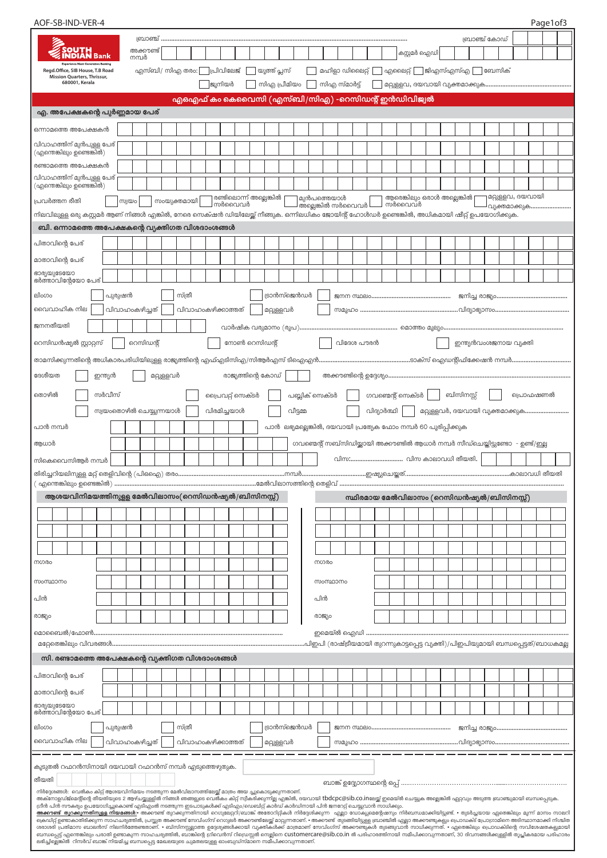| AOF-SB-IND-VER-4                                                                                                                                                                                                                                                                                                                                                                                               |                    |          |            |                                                   |  |        |                                  |  |  |              |                                                                 |     |             |                         |  |                                   |              |                              |           |               |        |                                                                                   | Page1of3 |  |
|----------------------------------------------------------------------------------------------------------------------------------------------------------------------------------------------------------------------------------------------------------------------------------------------------------------------------------------------------------------------------------------------------------------|--------------------|----------|------------|---------------------------------------------------|--|--------|----------------------------------|--|--|--------------|-----------------------------------------------------------------|-----|-------------|-------------------------|--|-----------------------------------|--------------|------------------------------|-----------|---------------|--------|-----------------------------------------------------------------------------------|----------|--|
|                                                                                                                                                                                                                                                                                                                                                                                                                |                    | ബ്രാഞ്ച് |            |                                                   |  |        |                                  |  |  |              |                                                                 |     |             |                         |  |                                   |              |                              |           | ബ്രാഞ്ച് കോഡ് |        |                                                                                   |          |  |
| SOUTH<br>I <b>NDIAN</b> Bank                                                                                                                                                                                                                                                                                                                                                                                   | അക്കൗണ്ട്<br>നമ്പർ |          |            |                                                   |  |        |                                  |  |  |              |                                                                 |     |             |                         |  |                                   | കസ്റ്റമർ ഐഡി |                              |           |               |        |                                                                                   |          |  |
| Regd.Office, SIB House, T.B Road<br><b>Mission Quarters, Thrissur,</b>                                                                                                                                                                                                                                                                                                                                         |                    |          |            | എസ്ബി/ സിഎ തരം:   പ്രിവിലേജ്                      |  |        |                                  |  |  | യുത്ത് പ്ലസ് |                                                                 |     |             | മഹിളാ ഡിലൈറ്റ്          |  | $\Box$ എലൈറ്റ് $\Box$ ജിഎസ്എസ്എ [ |              |                              |           |               | ബേസിക് |                                                                                   |          |  |
| 680001, Kerala                                                                                                                                                                                                                                                                                                                                                                                                 |                    |          |            |                                                   |  | ജുനിയർ |                                  |  |  | സിഎ പ്രീമിയം |                                                                 |     |             | സിഎ സ്മാർട്ട്           |  |                                   |              |                              |           |               |        |                                                                                   |          |  |
|                                                                                                                                                                                                                                                                                                                                                                                                                |                    |          |            | എഒഎഫ് കം കെവൈസി (എസ്ബി/സിഎ) -റെസിഡന്റ് ഇൻഡിവിജ്വൽ |  |        |                                  |  |  |              |                                                                 |     |             |                         |  |                                   |              |                              |           |               |        |                                                                                   |          |  |
| എ. അപേക്ഷകന്റെ പുർണ്ണമായ പേര്                                                                                                                                                                                                                                                                                                                                                                                  |                    |          |            |                                                   |  |        |                                  |  |  |              |                                                                 |     |             |                         |  |                                   |              |                              |           |               |        |                                                                                   |          |  |
| ഒന്നാമത്തെ അപേക്ഷകൻ                                                                                                                                                                                                                                                                                                                                                                                            |                    |          |            |                                                   |  |        |                                  |  |  |              |                                                                 |     |             |                         |  |                                   |              |                              |           |               |        |                                                                                   |          |  |
| വിവാഹത്തിന് മുൻപുള്ള പേര്<br>(എന്തെങ്കിലും ഉണ്ടെങ്കിൽ)                                                                                                                                                                                                                                                                                                                                                         |                    |          |            |                                                   |  |        |                                  |  |  |              |                                                                 |     |             |                         |  |                                   |              |                              |           |               |        |                                                                                   |          |  |
| രണ്ടാമത്തെ അപേക്ഷകൻ                                                                                                                                                                                                                                                                                                                                                                                            |                    |          |            |                                                   |  |        |                                  |  |  |              |                                                                 |     |             |                         |  |                                   |              |                              |           |               |        |                                                                                   |          |  |
| വിവാഹത്തിന് മുൻപുള്ള പേര്<br>(എന്തെങ്കിലും ഉണ്ടെങ്കിൽ)                                                                                                                                                                                                                                                                                                                                                         |                    |          |            |                                                   |  |        |                                  |  |  |              |                                                                 |     |             |                         |  |                                   |              |                              |           |               |        |                                                                                   |          |  |
| പ്രവർത്തന രീതി                                                                                                                                                                                                                                                                                                                                                                                                 | സ്വയം              |          |            | സംയുക്തമായി                                       |  |        | രണ്ടിലൊന്ന് അല്ലെങ്കിൽ<br>സർവൈവർ |  |  |              |                                                                 |     | മുൻപത്തെയാൾ | അല്ലെങ്കിൽ സർവൈവർ L     |  | ⊿ സർവൈവർ                          |              | ആരെങ്കിലും ഒരാൾ അല്ലെങ്കിൽ [ |           |               |        | മറ്റുള്ളവ, ദയവായി<br>വ്യക്തമാക്കുക                                                |          |  |
| നിലവിലുള്ള ഒരു കസ്റ്റമർ ആണ് നിങ്ങൾ എങ്കിൽ, നേരെ സെക്ഷൻ ഡിയിലേയ്ക് നീങ്ങുക. ഒന്നിലധികം ജോയിന്റ് ഹോൾഡർ ഉണ്ടെങ്കിൽ, അധികമായി ഷീറ്റ് ഉപയോഗിക്കുക.                                                                                                                                                                                                                                                                  |                    |          |            |                                                   |  |        |                                  |  |  |              |                                                                 |     |             |                         |  |                                   |              |                              |           |               |        |                                                                                   |          |  |
| ബി. ഒന്നാമത്തെ അപേക്ഷകന്റെ വ്യക്തിഗത വിശദാംശങ്ങൾ                                                                                                                                                                                                                                                                                                                                                               |                    |          |            |                                                   |  |        |                                  |  |  |              |                                                                 |     |             |                         |  |                                   |              |                              |           |               |        |                                                                                   |          |  |
| പിതാവിന്റെ പേര്                                                                                                                                                                                                                                                                                                                                                                                                |                    |          |            |                                                   |  |        |                                  |  |  |              |                                                                 |     |             |                         |  |                                   |              |                              |           |               |        |                                                                                   |          |  |
| മാതാവിന്റെ പേര്                                                                                                                                                                                                                                                                                                                                                                                                |                    |          |            |                                                   |  |        |                                  |  |  |              |                                                                 |     |             |                         |  |                                   |              |                              |           |               |        |                                                                                   |          |  |
| ഭാര്യയുടേയോ<br>ഭർത്താവിന്റേയോ പേര്                                                                                                                                                                                                                                                                                                                                                                             |                    |          |            |                                                   |  |        |                                  |  |  |              |                                                                 |     |             |                         |  |                                   |              |                              |           |               |        |                                                                                   |          |  |
| സ്ത്രീ<br>ട്രാൻസ്ജെൻഡർ<br>ലിംഗം<br>പുരുഷൻ<br>വൈവാഹിക നില                                                                                                                                                                                                                                                                                                                                                       |                    |          |            |                                                   |  |        |                                  |  |  |              |                                                                 |     |             |                         |  |                                   |              |                              |           |               |        |                                                                                   |          |  |
| വിവാഹംകഴിച്ചത്<br>വിവാഹംകഴിക്കാത്തത്<br>മറ്റുള്ളവർ                                                                                                                                                                                                                                                                                                                                                             |                    |          |            |                                                   |  |        |                                  |  |  |              |                                                                 |     |             |                         |  |                                   |              |                              |           |               |        |                                                                                   |          |  |
| ജനനതീയതി<br>നോൺ റെസിഡന്റ്<br>വിദേശ പൗരൻ<br>ഇന്ത്യൻവംശജനായ വ്യക്തി                                                                                                                                                                                                                                                                                                                                              |                    |          |            |                                                   |  |        |                                  |  |  |              |                                                                 |     |             |                         |  |                                   |              |                              |           |               |        |                                                                                   |          |  |
| റെസിഡൻഷ്യൽ സ്റ്റാറ്റസ്                                                                                                                                                                                                                                                                                                                                                                                         | റെസിഡന്റ്          |          |            |                                                   |  |        |                                  |  |  |              |                                                                 |     |             |                         |  |                                   |              |                              |           |               |        |                                                                                   |          |  |
| താമസിക്കുന്നതിന്റെ അധികാരപരിധിയിലുള്ള രാജ്യത്തിന്റെ എഫ്എടിസിഎ/സിആർഎസ് ടിഐഎൻ…………………………………………ടാക്സ് ഐഡന്റിഫിക്കേഷൻ നമ്പർ…………………………………                                                                                                                                                                                                                                                                            |                    |          |            |                                                   |  |        |                                  |  |  |              |                                                                 |     |             |                         |  |                                   |              |                              |           |               |        |                                                                                   |          |  |
| ദേശീയത<br>ഇന്ത്യൻ                                                                                                                                                                                                                                                                                                                                                                                              |                    |          | മറ്റുള്ളവർ |                                                   |  |        | രാജ്യത്തിന്റെ കോഡ്               |  |  |              |                                                                 |     |             |                         |  |                                   |              |                              |           |               |        |                                                                                   |          |  |
| സർവീസ്<br>തൊഴിൽ                                                                                                                                                                                                                                                                                                                                                                                                |                    |          |            |                                                   |  |        | പ്രൈവറ്റ് സെക്ടർ                 |  |  |              | പബ്ലിക് സെക്ടർ                                                  |     |             |                         |  | ഗവണ്മെന്റ് സെക്ടർ                 |              |                              | ബിസിനസ്സ് |               |        | പ്രൊഫഷണൽ                                                                          |          |  |
| സ്വയംതൊഴിൽ ചെയ്യുന്നയാൾ                                                                                                                                                                                                                                                                                                                                                                                        |                    |          |            |                                                   |  |        | വിരമിച്ചയാൾ                      |  |  |              | വീട്ടമ്മ                                                        |     |             |                         |  | വിദ്യാർത്ഥി                       |              |                              |           |               |        | മറ്റുള്ളവർ, ദയവായി വ്യക്തമാക്കുക                                                  |          |  |
| പാൻ നമ്പർ                                                                                                                                                                                                                                                                                                                                                                                                      |                    |          |            |                                                   |  |        |                                  |  |  |              | പാൻ  ലഭ്യമല്ലെങ്കിൽ, ദയവായി പ്രത്യേക ഫോം നമ്പർ 60 പൂരിപ്പിക്കുക |     |             |                         |  |                                   |              |                              |           |               |        |                                                                                   |          |  |
| ആധാർ                                                                                                                                                                                                                                                                                                                                                                                                           |                    |          |            |                                                   |  |        |                                  |  |  |              |                                                                 |     |             |                         |  |                                   |              |                              |           |               |        | ഗവണ്മെന്റ് സബ്സിഡിയ്ക്കായി അക്കൗണ്ടിൽ ആധാർ നമ്പർ സീഡ്ചെയ്തിട്ടുണ്ടോ  - ഉണ്ട്/ഇല്ല |          |  |
| സികെവൈസിആർ നമ്പർ                                                                                                                                                                                                                                                                                                                                                                                               |                    |          |            |                                                   |  |        |                                  |  |  |              |                                                                 |     |             | വിസ: വിസ കാലാവധി തീയതി. |  |                                   |              |                              |           |               |        |                                                                                   |          |  |
|                                                                                                                                                                                                                                                                                                                                                                                                                |                    |          |            |                                                   |  |        |                                  |  |  |              |                                                                 |     |             |                         |  |                                   |              |                              |           |               |        |                                                                                   |          |  |
| ആശയവിനിമയത്തിനുള്ള മേൽവിലാസം(റെസിഡൻഷ്യൽ/ബിസിനസ്സ്)                                                                                                                                                                                                                                                                                                                                                             |                    |          |            |                                                   |  |        |                                  |  |  |              |                                                                 |     |             |                         |  |                                   |              |                              |           |               |        | സ്ഥിരമായ മേൽവിലാസം (റെസിഡൻഷ്യൽ/ബിസിനസ്സ്)                                         |          |  |
|                                                                                                                                                                                                                                                                                                                                                                                                                |                    |          |            |                                                   |  |        |                                  |  |  |              |                                                                 |     |             |                         |  |                                   |              |                              |           |               |        |                                                                                   |          |  |
|                                                                                                                                                                                                                                                                                                                                                                                                                |                    |          |            |                                                   |  |        |                                  |  |  |              |                                                                 |     |             |                         |  |                                   |              |                              |           |               |        |                                                                                   |          |  |
|                                                                                                                                                                                                                                                                                                                                                                                                                |                    |          |            |                                                   |  |        |                                  |  |  |              |                                                                 |     |             |                         |  |                                   |              |                              |           |               |        |                                                                                   |          |  |
| നഗരം                                                                                                                                                                                                                                                                                                                                                                                                           |                    |          |            |                                                   |  |        |                                  |  |  |              |                                                                 |     | നഗരം        |                         |  |                                   |              |                              |           |               |        |                                                                                   |          |  |
|                                                                                                                                                                                                                                                                                                                                                                                                                |                    |          |            |                                                   |  |        |                                  |  |  |              |                                                                 |     |             |                         |  |                                   |              |                              |           |               |        |                                                                                   |          |  |
| സംസ്ഥാനം                                                                                                                                                                                                                                                                                                                                                                                                       |                    |          |            |                                                   |  |        |                                  |  |  |              |                                                                 |     | സംസ്ഥാനം    |                         |  |                                   |              |                              |           |               |        |                                                                                   |          |  |
| പിൻ                                                                                                                                                                                                                                                                                                                                                                                                            |                    |          |            |                                                   |  |        |                                  |  |  |              |                                                                 | പിൻ |             |                         |  |                                   |              |                              |           |               |        |                                                                                   |          |  |
| രാജ്യം                                                                                                                                                                                                                                                                                                                                                                                                         |                    |          |            |                                                   |  |        |                                  |  |  |              |                                                                 |     | രാജ്യം      |                         |  |                                   |              |                              |           |               |        |                                                                                   |          |  |
|                                                                                                                                                                                                                                                                                                                                                                                                                |                    |          |            |                                                   |  |        |                                  |  |  |              |                                                                 |     |             |                         |  |                                   |              |                              |           |               |        |                                                                                   |          |  |
| സി. രണ്ടാമത്തെ അപേക്ഷകന്റെ വ്യക്തിഗത വിശദാംശങ്ങൾ                                                                                                                                                                                                                                                                                                                                                               |                    |          |            |                                                   |  |        |                                  |  |  |              |                                                                 |     |             |                         |  |                                   |              |                              |           |               |        |                                                                                   |          |  |
|                                                                                                                                                                                                                                                                                                                                                                                                                |                    |          |            |                                                   |  |        |                                  |  |  |              |                                                                 |     |             |                         |  |                                   |              |                              |           |               |        |                                                                                   |          |  |
| പിതാവിന്റെ പേര്                                                                                                                                                                                                                                                                                                                                                                                                |                    |          |            |                                                   |  |        |                                  |  |  |              |                                                                 |     |             |                         |  |                                   |              |                              |           |               |        |                                                                                   |          |  |
| മാതാവിന്റെ പേര്<br>ഭാര്യയുടേയോ                                                                                                                                                                                                                                                                                                                                                                                 |                    |          |            |                                                   |  |        |                                  |  |  |              |                                                                 |     |             |                         |  |                                   |              |                              |           |               |        |                                                                                   |          |  |
| ഭർത്താവിന്റേയോ പേര്                                                                                                                                                                                                                                                                                                                                                                                            |                    |          |            |                                                   |  |        |                                  |  |  |              |                                                                 |     |             |                         |  |                                   |              |                              |           |               |        |                                                                                   |          |  |
| ലിംഗം<br>പുരുഷൻ                                                                                                                                                                                                                                                                                                                                                                                                |                    |          |            | സ്ത്രീ                                            |  |        |                                  |  |  |              | ട്രാൻസ്ജെൻഡർ                                                    |     |             |                         |  |                                   |              |                              |           |               |        |                                                                                   |          |  |
| വൈവാഹിക നില                                                                                                                                                                                                                                                                                                                                                                                                    | വിവാഹംകഴിച്ചത്     |          |            | വിവാഹംകഴിക്കാത്തത്                                |  |        |                                  |  |  | മറ്റുള്ളവർ   |                                                                 |     |             |                         |  |                                   |              |                              |           |               |        |                                                                                   |          |  |
| കൂടുതൽ റഫറൻസിനായി ദയവായി റഫറൻസ് നമ്പർ എടുത്തെഴുതുക.                                                                                                                                                                                                                                                                                                                                                            |                    |          |            |                                                   |  |        |                                  |  |  |              |                                                                 |     |             |                         |  |                                   |              |                              |           |               |        |                                                                                   |          |  |
| തീയതി                                                                                                                                                                                                                                                                                                                                                                                                          |                    |          |            |                                                   |  |        |                                  |  |  |              |                                                                 |     |             |                         |  |                                   |              |                              |           |               |        |                                                                                   |          |  |
| നിർദ്ദേശങ്ങൾ:  വെൽകം കിറ്റ് ആശയവിനിമയം നടത്തുന്ന മേൽവിലാസത്തിലേയ്ക്ക് മാത്രം അയ ച്ചുകൊടുക്കുന്നതാണ്.<br>അക്നോളഡ്ജ്മെന്റിന്റെ തീയതിയുടെ 2 ആഴ്ചയ്ക്കുള്ളിൽ നിങ്ങൾ ഞങ്ങളുടെ വെർകം കിറ്റ് സ്വീകരിക്കുന്നില്ല എങ്കിൽ, ദയവായി tbdcpc@sib.co.inലേയ്ക്ക് ഉമെയ്ൽ ചെയ്യുക അല്ലങ്കിൽ ഏറ്റവും അടുത്ത ബ്രാഞ്ചുമായി ബന്ധപ്പെടുക.                                                                                             |                    |          |            |                                                   |  |        |                                  |  |  |              |                                                                 |     |             |                         |  |                                   |              |                              |           |               |        |                                                                                   |          |  |
| ഗ്രീൻ പിൻ സൗകര്യം ഉപയോഗിച്ചുകൊണ്ട് എടിഎംൽ നടത്തുന്ന ഇടപാടുകൾക്ക് എടിഎം/ഡെബിറ്റ് കാർഡ് കാർഡിനായി പിൻ ജനറേറ്റ് ചെയ്യുവാൻ സാധിക്കും.<br><mark>അക്കൗണ്ട് തുറക്കുന്നതിനുളള നിയമങ്ങൾ:-</mark> അക്കൗണ്ട് തുറക്കുന്നതിനായി റെഗുലേറ്ററി/ബാങ്ക് അതോറിറ്റികൾ നിർദ്ദേശിക്കുന്ന എല്ലാ ഡോക്യുമെന്റേഷനും നിർബന്ധമാക്കിയിട്ടുണ്ട്. • തുടർച്ചയായ ഏതെങ്കിലും മൂന്ന് മാസം സാലറി                                                   |                    |          |            |                                                   |  |        |                                  |  |  |              |                                                                 |     |             |                         |  |                                   |              |                              |           |               |        |                                                                                   |          |  |
| ക്രെഡിറ്റ് ണ്ടൊകാതിരിക്കുന്ന സാഹചര്യത്തിൽ, പ്രസ്സത അക്കൗണ്ട് സേവിംഗ്സ് റെഗുലർ അകൗണ്ടിലേയ്ക്കാറ്റുണ്ട് ഞക്കൗണ്ട് തുടങ്ങിയിട്ടുള്ള ബ്രാഞ്ചിൽ എല്ലാ അകൗണ്ടുകളും പ്രൊഡക്ട് പ്രോഗ്രാമിനെ അടിസ്ഥാനമാക്കി നിശ്ചിത<br>ശരാശരി പ്രതിമാസ ബാലൻസ് നിലനിർത്തേണ്ടതാണ്. • ബിസിനസ്സല്ലാത്ത ഉദ്ദേശ്യങ്ങൾക്കായി വ്യക്തികൾക്ക് മാത്രമാണ് സേവിംഗ്സ് അക്കൗണ്ടുകൾ തുടങ്ങുവാൻ സാധിക്കുന്നത്. • ഏതെങ്കിലും പ്രൊഡക്ടിന്റെ സവിശേഷതകളുമായി |                    |          |            |                                                   |  |        |                                  |  |  |              |                                                                 |     |             |                         |  |                                   |              |                              |           |               |        |                                                                                   |          |  |
| ബന്ധപ്പെട്ട് എന്തെങ്കിലും പരാതി ഉണ്ടാകുന്ന സാഹചര്യത്തിൽ, ബാങ്കിന്റെ ഗ്രിവെൻസ് റിഡ്രെസ്സര് സെല്ലിനെ Customercare@sib.co.in ൽ പരിഹാരത്തിനായി സമീപിക്കാവുന്നതാണ്, 30 ദിവസങ്ങൾക്കുള്ളിൽ തൃപ്ലികരമായ പരിഹാരം<br>ലഭിച്ചില്ലെങ്കിൽ  റിസർവ് ബാങ്ക് നിയമിച്ച ബന്ധപ്പെട്ട മേഖലയുടെ ചുമതലയുള്ള ഓംബുഡ്സ്മാനെ സമീപിക്കാവുന്നതാണ്.                                                                                           |                    |          |            |                                                   |  |        |                                  |  |  |              |                                                                 |     |             |                         |  |                                   |              |                              |           |               |        |                                                                                   |          |  |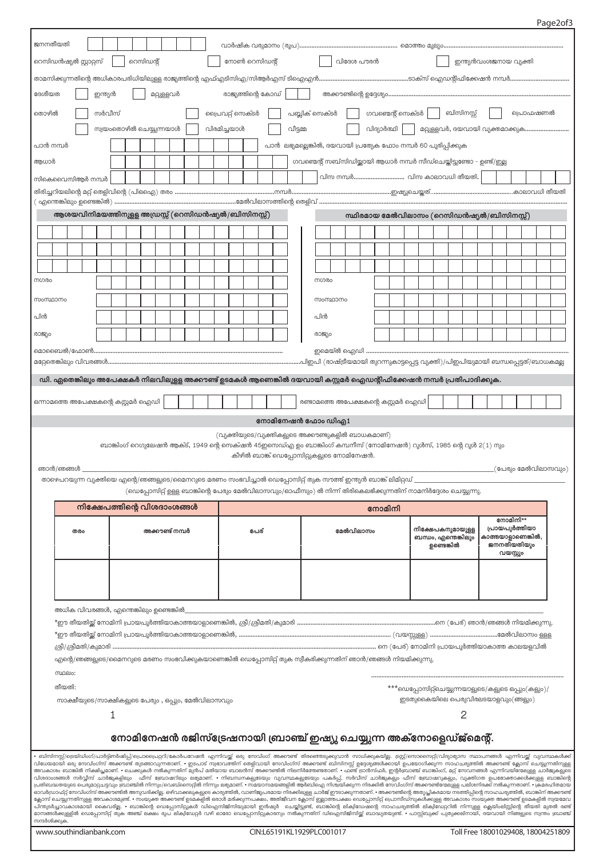Page2of3

|                                          | ജനനതീയതി                                                                                                                                                                                                            |                   |  |        |  |  |  |                         |  |                             |                                                    |                  |  |      |  |  |                                                                                                                  |                                     |          |  |           |                   |  |            |                                                                                                       |   |  |                                  |          |  |                                                                                                                                                                                                                                                                                                                                                                                                                                                                                                                                                                                                                                                                                                                                                                                                                                                                                                                                                                                                                                                                                                                                                                                                                                                                                                                                                                                                                             |
|------------------------------------------|---------------------------------------------------------------------------------------------------------------------------------------------------------------------------------------------------------------------|-------------------|--|--------|--|--|--|-------------------------|--|-----------------------------|----------------------------------------------------|------------------|--|------|--|--|------------------------------------------------------------------------------------------------------------------|-------------------------------------|----------|--|-----------|-------------------|--|------------|-------------------------------------------------------------------------------------------------------|---|--|----------------------------------|----------|--|-----------------------------------------------------------------------------------------------------------------------------------------------------------------------------------------------------------------------------------------------------------------------------------------------------------------------------------------------------------------------------------------------------------------------------------------------------------------------------------------------------------------------------------------------------------------------------------------------------------------------------------------------------------------------------------------------------------------------------------------------------------------------------------------------------------------------------------------------------------------------------------------------------------------------------------------------------------------------------------------------------------------------------------------------------------------------------------------------------------------------------------------------------------------------------------------------------------------------------------------------------------------------------------------------------------------------------------------------------------------------------------------------------------------------------|
|                                          | റെസിഡൻഷ്യൽ സ്റ്റാറ്റസ്<br>റെസിഡന്റ്<br>നോൺ റെസിഡന്റ്<br>വിദേശ പൗരൻ<br>ഇന്ത്യൻവംശജനായ വ്യക്തി                                                                                                                        |                   |  |        |  |  |  |                         |  |                             |                                                    |                  |  |      |  |  |                                                                                                                  |                                     |          |  |           |                   |  |            |                                                                                                       |   |  |                                  |          |  |                                                                                                                                                                                                                                                                                                                                                                                                                                                                                                                                                                                                                                                                                                                                                                                                                                                                                                                                                                                                                                                                                                                                                                                                                                                                                                                                                                                                                             |
|                                          |                                                                                                                                                                                                                     |                   |  |        |  |  |  |                         |  |                             |                                                    |                  |  |      |  |  |                                                                                                                  |                                     |          |  |           |                   |  |            |                                                                                                       |   |  |                                  |          |  |                                                                                                                                                                                                                                                                                                                                                                                                                                                                                                                                                                                                                                                                                                                                                                                                                                                                                                                                                                                                                                                                                                                                                                                                                                                                                                                                                                                                                             |
|                                          | ദേശീയത<br>രാജ്യത്തിന്റെ കോഡ്<br>ഇന്ത്യൻ<br>മറ്റുള്ളവർ                                                                                                                                                               |                   |  |        |  |  |  |                         |  |                             |                                                    |                  |  |      |  |  |                                                                                                                  |                                     |          |  |           |                   |  |            |                                                                                                       |   |  |                                  |          |  |                                                                                                                                                                                                                                                                                                                                                                                                                                                                                                                                                                                                                                                                                                                                                                                                                                                                                                                                                                                                                                                                                                                                                                                                                                                                                                                                                                                                                             |
| തൊഴിൽ                                    |                                                                                                                                                                                                                     |                   |  | സർവീസ് |  |  |  |                         |  |                             |                                                    | പ്രൈവറ്റ് സെക്ടർ |  |      |  |  |                                                                                                                  | പബ്ലിക് സെക്ടർ                      |          |  |           | ഗവണ്മെന്റ് സെക്ടർ |  |            | ബിസിനസ്സ്                                                                                             |   |  |                                  | പ്രൊഫഷണൽ |  |                                                                                                                                                                                                                                                                                                                                                                                                                                                                                                                                                                                                                                                                                                                                                                                                                                                                                                                                                                                                                                                                                                                                                                                                                                                                                                                                                                                                                             |
|                                          |                                                                                                                                                                                                                     |                   |  |        |  |  |  | സ്വയംതൊഴിൽ ചെയ്യുന്നയാൾ |  |                             |                                                    | വിരമിച്ചയാൾ      |  |      |  |  | വീട്ടമ്മ                                                                                                         |                                     |          |  |           | വിദ്യാർത്ഥി       |  |            |                                                                                                       |   |  |                                  |          |  | മറ്റുള്ളവർ, ദയവായി വ്യക്തമാക്കുക                                                                                                                                                                                                                                                                                                                                                                                                                                                                                                                                                                                                                                                                                                                                                                                                                                                                                                                                                                                                                                                                                                                                                                                                                                                                                                                                                                                            |
| പാൻ നമ്പർ                                |                                                                                                                                                                                                                     |                   |  |        |  |  |  |                         |  |                             |                                                    |                  |  |      |  |  | പാൻ ലഭ്യമല്ലെങ്കിൽ, ദയവായി പ്രത്യേക ഫോം നമ്പർ 60 പുരിപ്പിക്കുക                                                   |                                     |          |  |           |                   |  |            |                                                                                                       |   |  |                                  |          |  |                                                                                                                                                                                                                                                                                                                                                                                                                                                                                                                                                                                                                                                                                                                                                                                                                                                                                                                                                                                                                                                                                                                                                                                                                                                                                                                                                                                                                             |
|                                          |                                                                                                                                                                                                                     |                   |  |        |  |  |  |                         |  |                             |                                                    |                  |  |      |  |  |                                                                                                                  |                                     |          |  |           |                   |  |            |                                                                                                       |   |  |                                  |          |  |                                                                                                                                                                                                                                                                                                                                                                                                                                                                                                                                                                                                                                                                                                                                                                                                                                                                                                                                                                                                                                                                                                                                                                                                                                                                                                                                                                                                                             |
| ആധാർ                                     |                                                                                                                                                                                                                     |                   |  |        |  |  |  |                         |  |                             |                                                    |                  |  |      |  |  |                                                                                                                  |                                     |          |  |           |                   |  |            | ഗവണ്മെന്റ് സബ്സിഡിയ്ക്കായി ആധാർ നമ്പർ സീഡ്ചെയ്തിട്ടുണ്ടോ - ഉണ്ട്/ഇല്ല<br>വിസ നമ്പർ വിസ കാലാവധി തീയതി. |   |  |                                  |          |  |                                                                                                                                                                                                                                                                                                                                                                                                                                                                                                                                                                                                                                                                                                                                                                                                                                                                                                                                                                                                                                                                                                                                                                                                                                                                                                                                                                                                                             |
| സികെവൈസിആർ നമ്പർ                         |                                                                                                                                                                                                                     |                   |  |        |  |  |  |                         |  |                             |                                                    |                  |  |      |  |  |                                                                                                                  |                                     |          |  |           |                   |  |            |                                                                                                       |   |  |                                  |          |  |                                                                                                                                                                                                                                                                                                                                                                                                                                                                                                                                                                                                                                                                                                                                                                                                                                                                                                                                                                                                                                                                                                                                                                                                                                                                                                                                                                                                                             |
|                                          |                                                                                                                                                                                                                     |                   |  |        |  |  |  |                         |  |                             |                                                    |                  |  |      |  |  |                                                                                                                  |                                     |          |  |           |                   |  |            |                                                                                                       |   |  |                                  |          |  |                                                                                                                                                                                                                                                                                                                                                                                                                                                                                                                                                                                                                                                                                                                                                                                                                                                                                                                                                                                                                                                                                                                                                                                                                                                                                                                                                                                                                             |
|                                          | ആശയവിനിമയത്തിനുളള അഡ്രസ്സ് (റെസിഡൻഷ്യൽ/ബിസിനസ്സ്)                                                                                                                                                                   |                   |  |        |  |  |  |                         |  |                             |                                                    |                  |  |      |  |  |                                                                                                                  |                                     |          |  |           |                   |  |            | സ്ഥിരമായ മേൽവിലാസം (റെസിഡൻഷ്യൽ/ബിസിനസ്സ്)                                                             |   |  |                                  |          |  |                                                                                                                                                                                                                                                                                                                                                                                                                                                                                                                                                                                                                                                                                                                                                                                                                                                                                                                                                                                                                                                                                                                                                                                                                                                                                                                                                                                                                             |
|                                          |                                                                                                                                                                                                                     |                   |  |        |  |  |  |                         |  |                             |                                                    |                  |  |      |  |  |                                                                                                                  |                                     |          |  |           |                   |  |            |                                                                                                       |   |  |                                  |          |  |                                                                                                                                                                                                                                                                                                                                                                                                                                                                                                                                                                                                                                                                                                                                                                                                                                                                                                                                                                                                                                                                                                                                                                                                                                                                                                                                                                                                                             |
|                                          |                                                                                                                                                                                                                     |                   |  |        |  |  |  |                         |  |                             |                                                    |                  |  |      |  |  |                                                                                                                  |                                     |          |  |           |                   |  |            |                                                                                                       |   |  |                                  |          |  |                                                                                                                                                                                                                                                                                                                                                                                                                                                                                                                                                                                                                                                                                                                                                                                                                                                                                                                                                                                                                                                                                                                                                                                                                                                                                                                                                                                                                             |
|                                          |                                                                                                                                                                                                                     |                   |  |        |  |  |  |                         |  |                             |                                                    |                  |  |      |  |  |                                                                                                                  |                                     |          |  |           |                   |  |            |                                                                                                       |   |  |                                  |          |  |                                                                                                                                                                                                                                                                                                                                                                                                                                                                                                                                                                                                                                                                                                                                                                                                                                                                                                                                                                                                                                                                                                                                                                                                                                                                                                                                                                                                                             |
| നഗരം                                     |                                                                                                                                                                                                                     |                   |  |        |  |  |  |                         |  |                             |                                                    |                  |  |      |  |  |                                                                                                                  |                                     | നഗരം     |  |           |                   |  |            |                                                                                                       |   |  |                                  |          |  |                                                                                                                                                                                                                                                                                                                                                                                                                                                                                                                                                                                                                                                                                                                                                                                                                                                                                                                                                                                                                                                                                                                                                                                                                                                                                                                                                                                                                             |
| സംസ്ഥാനം                                 |                                                                                                                                                                                                                     |                   |  |        |  |  |  |                         |  |                             |                                                    |                  |  |      |  |  |                                                                                                                  |                                     | സംസ്ഥാനം |  |           |                   |  |            |                                                                                                       |   |  |                                  |          |  |                                                                                                                                                                                                                                                                                                                                                                                                                                                                                                                                                                                                                                                                                                                                                                                                                                                                                                                                                                                                                                                                                                                                                                                                                                                                                                                                                                                                                             |
| പിൻ                                      |                                                                                                                                                                                                                     |                   |  |        |  |  |  |                         |  |                             |                                                    |                  |  |      |  |  |                                                                                                                  |                                     | പിൻ      |  |           |                   |  |            |                                                                                                       |   |  |                                  |          |  |                                                                                                                                                                                                                                                                                                                                                                                                                                                                                                                                                                                                                                                                                                                                                                                                                                                                                                                                                                                                                                                                                                                                                                                                                                                                                                                                                                                                                             |
| രാജ്യം                                   |                                                                                                                                                                                                                     |                   |  |        |  |  |  |                         |  |                             |                                                    |                  |  |      |  |  |                                                                                                                  |                                     | രാജ്യം   |  |           |                   |  |            |                                                                                                       |   |  |                                  |          |  |                                                                                                                                                                                                                                                                                                                                                                                                                                                                                                                                                                                                                                                                                                                                                                                                                                                                                                                                                                                                                                                                                                                                                                                                                                                                                                                                                                                                                             |
|                                          |                                                                                                                                                                                                                     |                   |  |        |  |  |  |                         |  |                             |                                                    |                  |  |      |  |  |                                                                                                                  |                                     |          |  |           |                   |  |            |                                                                                                       |   |  |                                  |          |  |                                                                                                                                                                                                                                                                                                                                                                                                                                                                                                                                                                                                                                                                                                                                                                                                                                                                                                                                                                                                                                                                                                                                                                                                                                                                                                                                                                                                                             |
|                                          |                                                                                                                                                                                                                     |                   |  |        |  |  |  |                         |  |                             |                                                    |                  |  |      |  |  |                                                                                                                  |                                     |          |  |           |                   |  |            |                                                                                                       |   |  |                                  |          |  |                                                                                                                                                                                                                                                                                                                                                                                                                                                                                                                                                                                                                                                                                                                                                                                                                                                                                                                                                                                                                                                                                                                                                                                                                                                                                                                                                                                                                             |
|                                          |                                                                                                                                                                                                                     |                   |  |        |  |  |  |                         |  |                             |                                                    |                  |  |      |  |  | ഡി. ഏതെങ്കിലും അപേക്ഷകർ നിലവിലുള്ള അക്കൗണ്ട് ഉടമകൾ ആണെങ്കിൽ ദയവായി കസ്റ്റമർ ഐഡന്റിഫിക്കേഷൻ നമ്പർ പ്രതിപാദിക്കുക. |                                     |          |  |           |                   |  |            |                                                                                                       |   |  |                                  |          |  |                                                                                                                                                                                                                                                                                                                                                                                                                                                                                                                                                                                                                                                                                                                                                                                                                                                                                                                                                                                                                                                                                                                                                                                                                                                                                                                                                                                                                             |
| ഒന്നാമത്തെ അപേക്ഷകന്റെ കസ്റ്റമർ ഐഡി      |                                                                                                                                                                                                                     |                   |  |        |  |  |  |                         |  |                             |                                                    |                  |  |      |  |  |                                                                                                                  | രണ്ടാമത്തെ അപേക്ഷകന്റെ കസ്റ്റമർ ഐഡി |          |  |           |                   |  |            |                                                                                                       |   |  |                                  |          |  |                                                                                                                                                                                                                                                                                                                                                                                                                                                                                                                                                                                                                                                                                                                                                                                                                                                                                                                                                                                                                                                                                                                                                                                                                                                                                                                                                                                                                             |
|                                          |                                                                                                                                                                                                                     |                   |  |        |  |  |  |                         |  |                             |                                                    |                  |  |      |  |  |                                                                                                                  |                                     |          |  |           |                   |  |            |                                                                                                       |   |  |                                  |          |  |                                                                                                                                                                                                                                                                                                                                                                                                                                                                                                                                                                                                                                                                                                                                                                                                                                                                                                                                                                                                                                                                                                                                                                                                                                                                                                                                                                                                                             |
|                                          |                                                                                                                                                                                                                     | നോമിനേഷൻ ഫോം ഡിഎ1 |  |        |  |  |  |                         |  |                             |                                                    |                  |  |      |  |  |                                                                                                                  |                                     |          |  |           |                   |  |            |                                                                                                       |   |  |                                  |          |  |                                                                                                                                                                                                                                                                                                                                                                                                                                                                                                                                                                                                                                                                                                                                                                                                                                                                                                                                                                                                                                                                                                                                                                                                                                                                                                                                                                                                                             |
|                                          | (വ്യക്തിയുടെ/വ്യക്തികളുടെ അക്കൗണ്ടുകളിൽ ബാധകമാണ്)<br>ബാങ്കിംഗ് റെഗുലേഷൻ ആക്ട്, 1949 ന്റെ സെക്ഷൻ 45ഇസെഡ്എ ഉം ബാങ്കിംഗ് കമ്പനീസ് (നോമിനേഷൻ) റൂൾസ്, 1985 ന്റെ റൂൾ 2(1) നും<br>കീഴിൽ ബാങ്ക് ഡെപ്പോസിറ്റുകളുടെ നോമിനേഷൻ. |                   |  |        |  |  |  |                         |  |                             |                                                    |                  |  |      |  |  |                                                                                                                  |                                     |          |  |           |                   |  |            |                                                                                                       |   |  |                                  |          |  |                                                                                                                                                                                                                                                                                                                                                                                                                                                                                                                                                                                                                                                                                                                                                                                                                                                                                                                                                                                                                                                                                                                                                                                                                                                                                                                                                                                                                             |
|                                          |                                                                                                                                                                                                                     |                   |  |        |  |  |  |                         |  |                             |                                                    |                  |  |      |  |  |                                                                                                                  |                                     |          |  |           |                   |  |            |                                                                                                       |   |  |                                  |          |  |                                                                                                                                                                                                                                                                                                                                                                                                                                                                                                                                                                                                                                                                                                                                                                                                                                                                                                                                                                                                                                                                                                                                                                                                                                                                                                                                                                                                                             |
|                                          | ഞാൻ/ഞങ്ങൾ                                                                                                                                                                                                           |                   |  |        |  |  |  |                         |  |                             |                                                    |                  |  |      |  |  |                                                                                                                  |                                     |          |  |           |                   |  |            |                                                                                                       |   |  |                                  |          |  |                                                                                                                                                                                                                                                                                                                                                                                                                                                                                                                                                                                                                                                                                                                                                                                                                                                                                                                                                                                                                                                                                                                                                                                                                                                                                                                                                                                                                             |
|                                          |                                                                                                                                                                                                                     |                   |  |        |  |  |  |                         |  |                             |                                                    |                  |  |      |  |  | താഴെപറയുന്ന വ്യക്തിയെ എന്റെ/ഞങ്ങളുടെ/മൈനറുടെ മരണം സംഭവിച്ചാൽ ഡെപ്പോസിറ്റ് തുക സൗത്ത് ഇന്ത്യൻ ബാങ്ക് ലിമിറ്റഡ്    |                                     |          |  |           |                   |  |            |                                                                                                       |   |  |                                  |          |  | .(പേരും മേൽവിലാസവും)                                                                                                                                                                                                                                                                                                                                                                                                                                                                                                                                                                                                                                                                                                                                                                                                                                                                                                                                                                                                                                                                                                                                                                                                                                                                                                                                                                                                        |
|                                          |                                                                                                                                                                                                                     |                   |  |        |  |  |  |                         |  |                             |                                                    |                  |  |      |  |  | (ഡെപ്പോസിറ്റ് ഉള്ള ബാങ്കിന്റെ പേരും മേൽവിലാസവും/ഓഫീസും) ൽ നിന്ന് തിരികെലഭിക്കുന്നതിന് നാമനിർദ്ദേശം ചെയ്യുന്നു.   |                                     |          |  |           |                   |  |            |                                                                                                       |   |  |                                  |          |  |                                                                                                                                                                                                                                                                                                                                                                                                                                                                                                                                                                                                                                                                                                                                                                                                                                                                                                                                                                                                                                                                                                                                                                                                                                                                                                                                                                                                                             |
|                                          |                                                                                                                                                                                                                     |                   |  |        |  |  |  |                         |  | നിക്ഷേപത്തിന്റെ വിശദാംശങ്ങൾ |                                                    |                  |  |      |  |  |                                                                                                                  |                                     |          |  |           | നോമിനി            |  |            |                                                                                                       |   |  |                                  |          |  |                                                                                                                                                                                                                                                                                                                                                                                                                                                                                                                                                                                                                                                                                                                                                                                                                                                                                                                                                                                                                                                                                                                                                                                                                                                                                                                                                                                                                             |
|                                          |                                                                                                                                                                                                                     | തരം               |  |        |  |  |  | അക്കൗണ്ട് നമ്പർ         |  |                             |                                                    |                  |  | പേര് |  |  |                                                                                                                  |                                     |          |  | മേൽവിലാസം |                   |  |            | നിക്ഷേപകനുമായുളള                                                                                      |   |  | നോമിനി**<br>പ്രായപുർത്തിയാ       |          |  |                                                                                                                                                                                                                                                                                                                                                                                                                                                                                                                                                                                                                                                                                                                                                                                                                                                                                                                                                                                                                                                                                                                                                                                                                                                                                                                                                                                                                             |
|                                          |                                                                                                                                                                                                                     |                   |  |        |  |  |  |                         |  |                             |                                                    |                  |  |      |  |  |                                                                                                                  |                                     |          |  |           |                   |  | ഉണ്ടെങ്കിൽ | ബന്ധം, എന്തെങ്കിലും                                                                                   |   |  | കാത്തയാളാണെങ്കിൽ.<br>ജനനതീയതിയും |          |  |                                                                                                                                                                                                                                                                                                                                                                                                                                                                                                                                                                                                                                                                                                                                                                                                                                                                                                                                                                                                                                                                                                                                                                                                                                                                                                                                                                                                                             |
|                                          |                                                                                                                                                                                                                     |                   |  |        |  |  |  |                         |  |                             |                                                    |                  |  |      |  |  |                                                                                                                  |                                     |          |  |           |                   |  |            |                                                                                                       |   |  | വയസ്സും                          |          |  |                                                                                                                                                                                                                                                                                                                                                                                                                                                                                                                                                                                                                                                                                                                                                                                                                                                                                                                                                                                                                                                                                                                                                                                                                                                                                                                                                                                                                             |
|                                          |                                                                                                                                                                                                                     |                   |  |        |  |  |  |                         |  |                             |                                                    |                  |  |      |  |  |                                                                                                                  |                                     |          |  |           |                   |  |            |                                                                                                       |   |  |                                  |          |  |                                                                                                                                                                                                                                                                                                                                                                                                                                                                                                                                                                                                                                                                                                                                                                                                                                                                                                                                                                                                                                                                                                                                                                                                                                                                                                                                                                                                                             |
|                                          |                                                                                                                                                                                                                     |                   |  |        |  |  |  |                         |  |                             |                                                    |                  |  |      |  |  |                                                                                                                  |                                     |          |  |           |                   |  |            |                                                                                                       |   |  |                                  |          |  |                                                                                                                                                                                                                                                                                                                                                                                                                                                                                                                                                                                                                                                                                                                                                                                                                                                                                                                                                                                                                                                                                                                                                                                                                                                                                                                                                                                                                             |
|                                          | അധിക വിവരങ്ങൾ, എന്തെങ്കിലും ഉണ്ടെങ്കിൽ_                                                                                                                                                                             |                   |  |        |  |  |  |                         |  |                             |                                                    |                  |  |      |  |  |                                                                                                                  |                                     |          |  |           |                   |  |            |                                                                                                       |   |  |                                  |          |  |                                                                                                                                                                                                                                                                                                                                                                                                                                                                                                                                                                                                                                                                                                                                                                                                                                                                                                                                                                                                                                                                                                                                                                                                                                                                                                                                                                                                                             |
|                                          |                                                                                                                                                                                                                     |                   |  |        |  |  |  |                         |  |                             |                                                    |                  |  |      |  |  |                                                                                                                  |                                     |          |  |           |                   |  |            |                                                                                                       |   |  |                                  |          |  |                                                                                                                                                                                                                                                                                                                                                                                                                                                                                                                                                                                                                                                                                                                                                                                                                                                                                                                                                                                                                                                                                                                                                                                                                                                                                                                                                                                                                             |
|                                          |                                                                                                                                                                                                                     |                   |  |        |  |  |  |                         |  |                             |                                                    |                  |  |      |  |  |                                                                                                                  |                                     |          |  |           |                   |  |            |                                                                                                       |   |  |                                  |          |  |                                                                                                                                                                                                                                                                                                                                                                                                                                                                                                                                                                                                                                                                                                                                                                                                                                                                                                                                                                                                                                                                                                                                                                                                                                                                                                                                                                                                                             |
|                                          |                                                                                                                                                                                                                     |                   |  |        |  |  |  |                         |  |                             |                                                    |                  |  |      |  |  | എന്റെ/ഞങ്ങളുടെ/മൈനറുടെ മരണം സംഭവിക്കുകയാണെങ്കിൽ ഡെപ്പോസിറ്റ് തുക സ്വീകരിക്കുന്നതിന് ഞാൻ/ഞങ്ങൾ നിയമിക്കുന്നു.     |                                     |          |  |           |                   |  |            |                                                                                                       |   |  |                                  |          |  |                                                                                                                                                                                                                                                                                                                                                                                                                                                                                                                                                                                                                                                                                                                                                                                                                                                                                                                                                                                                                                                                                                                                                                                                                                                                                                                                                                                                                             |
|                                          | സ്ഥലം:                                                                                                                                                                                                              |                   |  |        |  |  |  |                         |  |                             |                                                    |                  |  |      |  |  |                                                                                                                  |                                     |          |  |           |                   |  |            |                                                                                                       |   |  |                                  |          |  |                                                                                                                                                                                                                                                                                                                                                                                                                                                                                                                                                                                                                                                                                                                                                                                                                                                                                                                                                                                                                                                                                                                                                                                                                                                                                                                                                                                                                             |
|                                          | തീയതി:                                                                                                                                                                                                              |                   |  |        |  |  |  |                         |  |                             |                                                    |                  |  |      |  |  |                                                                                                                  |                                     |          |  |           |                   |  |            | ***ഡെപ്പോസിറ്റ്ചെയ്യുന്നയാളുടെ/കളുടെ ഒപ്പും(കളും)/                                                    |   |  |                                  |          |  |                                                                                                                                                                                                                                                                                                                                                                                                                                                                                                                                                                                                                                                                                                                                                                                                                                                                                                                                                                                                                                                                                                                                                                                                                                                                                                                                                                                                                             |
|                                          |                                                                                                                                                                                                                     |                   |  |        |  |  |  |                         |  |                             | സാക്ഷീയുടെ/സാക്ഷികളുടെ പേരും , ഒപ്പും, മേൽവിലാസവും |                  |  |      |  |  |                                                                                                                  |                                     |          |  |           |                   |  |            | ഇടതുകൈയിലെ പെരുവിരലടയാളവും(ങ്ങളും)                                                                    |   |  |                                  |          |  |                                                                                                                                                                                                                                                                                                                                                                                                                                                                                                                                                                                                                                                                                                                                                                                                                                                                                                                                                                                                                                                                                                                                                                                                                                                                                                                                                                                                                             |
|                                          |                                                                                                                                                                                                                     |                   |  | 1      |  |  |  |                         |  |                             |                                                    |                  |  |      |  |  |                                                                                                                  |                                     |          |  |           |                   |  |            |                                                                                                       | 2 |  |                                  |          |  |                                                                                                                                                                                                                                                                                                                                                                                                                                                                                                                                                                                                                                                                                                                                                                                                                                                                                                                                                                                                                                                                                                                                                                                                                                                                                                                                                                                                                             |
|                                          |                                                                                                                                                                                                                     |                   |  |        |  |  |  |                         |  |                             |                                                    |                  |  |      |  |  | നോമിനേഷൻ രജിസ്ട്രേഷനായി ബ്രാഞ്ച് ഇഷ്യു ചെയ്യുന്ന അക്നോളെഡ്ജ്മെന്റ്.                                              |                                     |          |  |           |                   |  |            |                                                                                                       |   |  |                                  |          |  |                                                                                                                                                                                                                                                                                                                                                                                                                                                                                                                                                                                                                                                                                                                                                                                                                                                                                                                                                                                                                                                                                                                                                                                                                                                                                                                                                                                                                             |
|                                          |                                                                                                                                                                                                                     |                   |  |        |  |  |  |                         |  |                             |                                                    |                  |  |      |  |  |                                                                                                                  |                                     |          |  |           |                   |  |            |                                                                                                       |   |  |                                  |          |  | ∙ ബിസിനസ്റ്റ്/ട്രെയ്ഡിംഗ്/പാർട്ട്ണർഷിപ്പ്/പ്രൊപ്രൈറ്ററി/കോർപറേഷൻ എന്നിവയ്ക്ക് ഒരു സേവിംഗ് അക്കാണ്ട് തിരഞ്ഞെടുക്കുവാൻ സാധിക്കുകയില്ല. ട്രസ്റ്റ്/സൊസൈറ്റി/വിദ്യാഭ്യാസ സ്ഥാപനങ്ങൾ എന്നിവയ്ക് വ്യവസ്ഥകൾക്ക്<br>വിധേയമായി ഒരു സേവിംഗ്സ് അക്കൗണ്ട് തുടങ്ങാവുന്നതാണ്. • ഇടപാട് സ്വഭാവത്തിന് ഞളിവായി സേവിംഗ്സ് അക്കാണ്ട് ബിസിനസ്റ്റ് ഉദ്ദേശ്യങ്ങൾക്കായി ഉപയോഗിക്കുന്ന സാഹചര്യത്തിൽ അക്കൗണ്ട് ക്ലോസ് ചെയ്യുന്നതിനുള്ള<br>.<br>അവകാശം ബാങ്കിൽ നിക്ഷിപ്പമാണ്. • ചെക്കുകൾ നൽകുന്നതിന് മുൻപ് മതിയായ ബാലൻസ് അക്കൗണ്ടിൽ നിലനിർത്തേണ്ടതാണ്. • ഫണ്ട് ട്രാൻസ്ഫർ, ഇന്റർബ്രാഞ്ച് ബാങ്കിംഗ്, മറ്റ് സേവനങ്ങൾ എന്നിവയിന്മേലുള്ള ചാർജുകളുടെ<br>വിശദാംശങ്ങൾ സർവ്വീസ് ചാർജുകളിലും  ഫീസ് ബ്രോഷറിലും ലഭ്യമാണ്. • നിബന്ധനകളുടേയും വുവസ്ഥകളുടേയും പകർപ്പ്, സർവീസ് ചാർജുകളും ഫീസ് ബ്രോഷറുകളും, വ്യക്തിഗത ഉപഭോക്താക്കൾക്കുള്ള ബാങ്കിന്റെ<br>പ്രതിബവാതയുടെ പെരുമാറ്റചട്ടവും ബ്രാഞ്ചിൽ നിന്നും/വെബ്സൈറ്റിൽ നിന്നും ലഭ്യമാണ്. • സമയാസമയങ്ങളിൽ ആർബിഐ നിശ്ചയിക്കുന്ന നീരക്കിൽ സേവിംഗ്സ് അക്കൗണ്ടിന്മേലുള്ള പലിശനിരക്ക് നൽകുന്നതാണ്. • ക്രമരഹിതമായ<br>ഓവർഡ്രാഫ്റ്റ് സേവിംഗ്സ് അക്കൗണ്ടിൽ അനുവദിക്കില്ല. ഒഴിവാക്കലുകളുടെ കാര്യത്തിൽ, വാണിജ്യപരമായ നിരക്കിലുള്ള ചാർജ് ഈടാക്കുന്നതാണ്. • അക്കൗണ്ടിന്റെ അതൃപ്തികരമായ നടത്തിപ്പിന്റെ സാഹചര്യത്തിൽ, ബാങ്കിന് അക്കൗണ്ട്<br>ക്ലോസ് ചെയ്യുന്നതിനുള്ള അവകാശമുണ്ട്. • സംയുക്ത അക്കാണ്ട് ഉടമകളിൽ ഒരാർ മരിക്കുന്നപക്ഷം, അതിജീവന ക്ലോസ് ഇല്ലാത്തപക്ഷം ഡെപ്പോസീറ്റ് പ്രൊസീഡ്സുകൾക്കുള്ള അവകാശം സംയുക്ത അക്കൗണ്ട് ഉടമകളിൽ സ്വയമേവ |
|                                          |                                                                                                                                                                                                                     |                   |  |        |  |  |  |                         |  |                             |                                                    |                  |  |      |  |  |                                                                                                                  |                                     |          |  |           |                   |  |            |                                                                                                       |   |  |                                  |          |  | പിന്തുടർച്ചാവകാശമായി കൈവരില്ല. • ബാങ്കിന്റെ ഡെപ്പോസിറ്റുകൾ ഡിഐസിജിസിയുമായി ഇർഷുർ ചെയ്തിട്ടുണ്ട്, ബാങ്കിന്റെ ലിക്വിഡേഷന്റെ സാഹചര്യത്തിൽ ലിക്വിഡേറ്ററിൽ നിന്നുള്ള ക്ലെയിംലിസ്റ്റിന്റെ തീയതി മുതൽ രണ്ട്<br>മാസങ്ങൾക്കുള്ളിൽ ഡെപ്പോസിറ്റ് തുക അഞ്ച് ലക്ഷം രൂപ ലിക്വിഡേറ്റർ വഴി ഓരോ ഡെപ്പോസിറ്റുകാരനും നൽകുന്നതിന് ഡിഐസിജിസിയ്ക് ബാദ്ധ്യതയുണ്ട്. • പാസ്സ്ബുക്ക് പുതുക്കലിനായി, ദയവായി നിങ്ങളുടെ സ്വന്തം ബ്രാഞ്ച്                                                                                                                                                                                                                                                                                                                                                                                                                                                                                                                                                                                                                                                                                                                                                                                                                                                                                                                                                                                                                 |
| സന്ദർശിക്കുക.<br>www.southindianbank.com |                                                                                                                                                                                                                     |                   |  |        |  |  |  |                         |  |                             |                                                    |                  |  |      |  |  | CIN:L65191KL1929PLC001017                                                                                        |                                     |          |  |           |                   |  |            |                                                                                                       |   |  |                                  |          |  | Toll Free 18001029408, 18004251809                                                                                                                                                                                                                                                                                                                                                                                                                                                                                                                                                                                                                                                                                                                                                                                                                                                                                                                                                                                                                                                                                                                                                                                                                                                                                                                                                                                          |